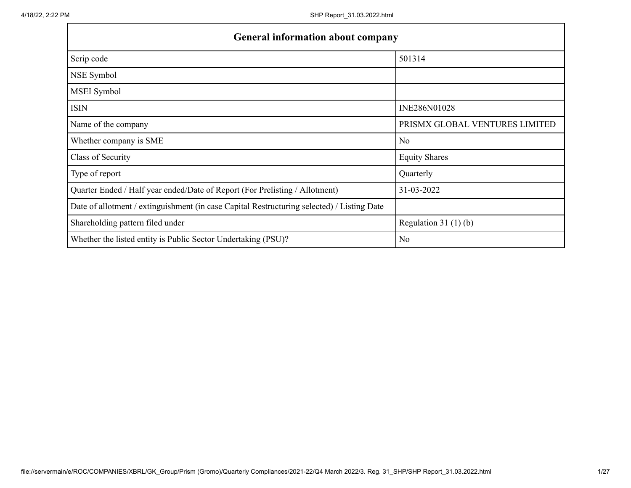| <b>General information about company</b>                                                   |                                |  |  |  |  |  |  |  |
|--------------------------------------------------------------------------------------------|--------------------------------|--|--|--|--|--|--|--|
| Scrip code                                                                                 | 501314                         |  |  |  |  |  |  |  |
| NSE Symbol                                                                                 |                                |  |  |  |  |  |  |  |
| MSEI Symbol                                                                                |                                |  |  |  |  |  |  |  |
| <b>ISIN</b>                                                                                | INE286N01028                   |  |  |  |  |  |  |  |
| Name of the company                                                                        | PRISMX GLOBAL VENTURES LIMITED |  |  |  |  |  |  |  |
| Whether company is SME                                                                     | N <sub>o</sub>                 |  |  |  |  |  |  |  |
| Class of Security                                                                          | <b>Equity Shares</b>           |  |  |  |  |  |  |  |
| Type of report                                                                             | Quarterly                      |  |  |  |  |  |  |  |
| Quarter Ended / Half year ended/Date of Report (For Prelisting / Allotment)                | 31-03-2022                     |  |  |  |  |  |  |  |
| Date of allotment / extinguishment (in case Capital Restructuring selected) / Listing Date |                                |  |  |  |  |  |  |  |
| Shareholding pattern filed under                                                           | Regulation 31 $(1)(b)$         |  |  |  |  |  |  |  |
| Whether the listed entity is Public Sector Undertaking (PSU)?                              | N <sub>o</sub>                 |  |  |  |  |  |  |  |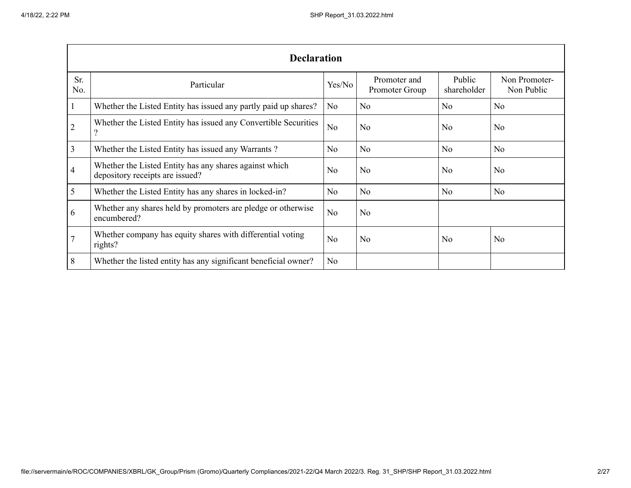|                | <b>Declaration</b>                                                                        |                |                                |                       |                             |  |  |  |  |  |
|----------------|-------------------------------------------------------------------------------------------|----------------|--------------------------------|-----------------------|-----------------------------|--|--|--|--|--|
| Sr.<br>No.     | Particular                                                                                | Yes/No         | Promoter and<br>Promoter Group | Public<br>shareholder | Non Promoter-<br>Non Public |  |  |  |  |  |
| 1              | Whether the Listed Entity has issued any partly paid up shares?                           | N <sub>o</sub> | No                             | N <sub>o</sub>        | N <sub>0</sub>              |  |  |  |  |  |
| $\overline{2}$ | Whether the Listed Entity has issued any Convertible Securities<br>$\gamma$               | N <sub>0</sub> | N <sub>0</sub>                 | No                    | N <sub>o</sub>              |  |  |  |  |  |
| 3              | Whether the Listed Entity has issued any Warrants?                                        | N <sub>o</sub> | N <sub>o</sub>                 | N <sub>o</sub>        | N <sub>0</sub>              |  |  |  |  |  |
| 4              | Whether the Listed Entity has any shares against which<br>depository receipts are issued? | No             | No                             | N <sub>o</sub>        | N <sub>0</sub>              |  |  |  |  |  |
| 5              | Whether the Listed Entity has any shares in locked-in?                                    | N <sub>o</sub> | N <sub>o</sub>                 | N <sub>o</sub>        | N <sub>0</sub>              |  |  |  |  |  |
| 6              | Whether any shares held by promoters are pledge or otherwise<br>encumbered?               | N <sub>0</sub> | N <sub>0</sub>                 |                       |                             |  |  |  |  |  |
|                | Whether company has equity shares with differential voting<br>rights?                     | No             | N <sub>o</sub>                 | N <sub>o</sub>        | N <sub>o</sub>              |  |  |  |  |  |
| 8              | Whether the listed entity has any significant beneficial owner?                           | N <sub>0</sub> |                                |                       |                             |  |  |  |  |  |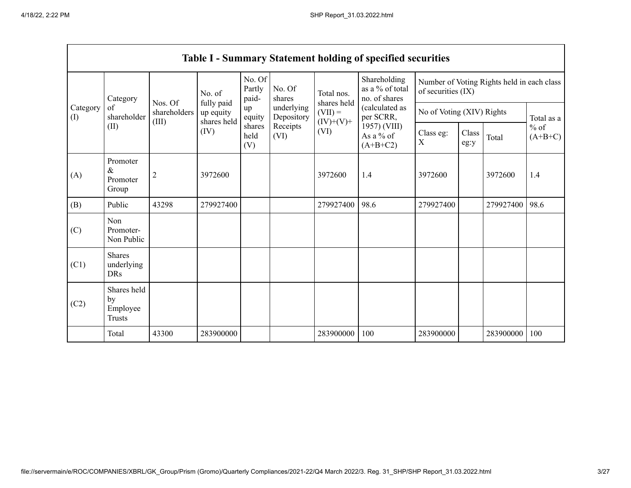H

|                 |                                                |                                  |                                                |                           |                          |                                                       | <b>Table I - Summary Statement holding of specified securities</b>     |                                                                  |               |            |                     |
|-----------------|------------------------------------------------|----------------------------------|------------------------------------------------|---------------------------|--------------------------|-------------------------------------------------------|------------------------------------------------------------------------|------------------------------------------------------------------|---------------|------------|---------------------|
|                 | Category<br>of<br>shareholder<br>(II)          | Nos. Of<br>shareholders<br>(III) | No. of                                         | No. Of<br>Partly<br>paid- | No. Of<br>shares         | Total nos.<br>shares held<br>$(VII) =$<br>$(IV)+(V)+$ | Shareholding<br>as a % of total<br>no. of shares                       | Number of Voting Rights held in each class<br>of securities (IX) |               |            |                     |
| Category<br>(I) |                                                |                                  | fully paid<br>up equity<br>shares held<br>(IV) | up<br>equity              | underlying<br>Depository |                                                       | (calculated as<br>per SCRR,<br>1957) (VIII)<br>As a % of<br>$(A+B+C2)$ | No of Voting (XIV) Rights                                        |               | Total as a |                     |
|                 |                                                |                                  |                                                | shares<br>held<br>(V)     | Receipts<br>(VI)         | (VI)                                                  |                                                                        | Class eg:<br>X                                                   | Class<br>eg:y | Total      | $%$ of<br>$(A+B+C)$ |
| (A)             | Promoter<br>$\&$<br>Promoter<br>Group          | $\overline{2}$                   | 3972600                                        |                           |                          | 3972600                                               | 1.4                                                                    | 3972600                                                          |               | 3972600    | 1.4                 |
| (B)             | Public                                         | 43298                            | 279927400                                      |                           |                          | 279927400                                             | 98.6                                                                   | 279927400                                                        |               | 279927400  | 98.6                |
| (C)             | Non<br>Promoter-<br>Non Public                 |                                  |                                                |                           |                          |                                                       |                                                                        |                                                                  |               |            |                     |
| (C1)            | <b>Shares</b><br>underlying<br><b>DRs</b>      |                                  |                                                |                           |                          |                                                       |                                                                        |                                                                  |               |            |                     |
| (C2)            | Shares held<br>by<br>Employee<br><b>Trusts</b> |                                  |                                                |                           |                          |                                                       |                                                                        |                                                                  |               |            |                     |
|                 | Total                                          | 43300                            | 283900000                                      |                           |                          | 283900000                                             | 100                                                                    | 283900000                                                        |               | 283900000  | 100                 |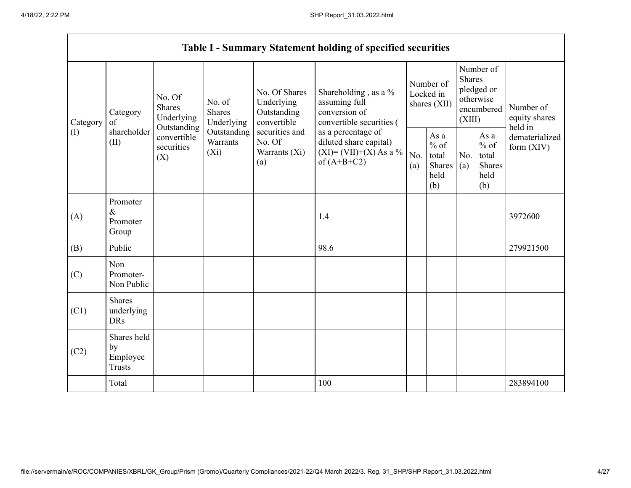h

|                 |                                                |                                                      |                                       |                                                           | <b>Table I - Summary Statement holding of specified securities</b>                         |                                        |                                                         |                                                                        |                                                  |                                       |
|-----------------|------------------------------------------------|------------------------------------------------------|---------------------------------------|-----------------------------------------------------------|--------------------------------------------------------------------------------------------|----------------------------------------|---------------------------------------------------------|------------------------------------------------------------------------|--------------------------------------------------|---------------------------------------|
| Category<br>(I) | Category<br>of<br>shareholder<br>(II)          | No. Of<br><b>Shares</b><br>Underlying<br>Outstanding | No. of<br><b>Shares</b><br>Underlying | No. Of Shares<br>Underlying<br>Outstanding<br>convertible | Shareholding, as a %<br>assuming full<br>conversion of<br>convertible securities (         | Number of<br>Locked in<br>shares (XII) |                                                         | Number of<br>Shares<br>pledged or<br>otherwise<br>encumbered<br>(XIII) |                                                  | Number of<br>equity shares<br>held in |
|                 |                                                | convertible<br>securities<br>(X)                     | Outstanding<br>Warrants<br>$(X_i)$    | securities and<br>No. Of<br>Warrants (Xi)<br>(a)          | as a percentage of<br>diluted share capital)<br>$(XI) = (VII)+(X) As a %$<br>of $(A+B+C2)$ | No.<br>(a)                             | As a<br>$%$ of<br>total<br><b>Shares</b><br>held<br>(b) | No.<br>(a)                                                             | As a<br>$%$ of<br>total<br>Shares<br>held<br>(b) | dematerialized<br>form $(XIV)$        |
| (A)             | Promoter<br>$\&$<br>Promoter<br>Group          |                                                      |                                       |                                                           | 1.4                                                                                        |                                        |                                                         |                                                                        |                                                  | 3972600                               |
| (B)             | Public                                         |                                                      |                                       |                                                           | 98.6                                                                                       |                                        |                                                         |                                                                        |                                                  | 279921500                             |
| (C)             | Non<br>Promoter-<br>Non Public                 |                                                      |                                       |                                                           |                                                                                            |                                        |                                                         |                                                                        |                                                  |                                       |
| (C1)            | <b>Shares</b><br>underlying<br><b>DRs</b>      |                                                      |                                       |                                                           |                                                                                            |                                        |                                                         |                                                                        |                                                  |                                       |
| (C2)            | Shares held<br>by<br>Employee<br><b>Trusts</b> |                                                      |                                       |                                                           |                                                                                            |                                        |                                                         |                                                                        |                                                  |                                       |
|                 | Total                                          |                                                      |                                       |                                                           | 100                                                                                        |                                        |                                                         |                                                                        |                                                  | 283894100                             |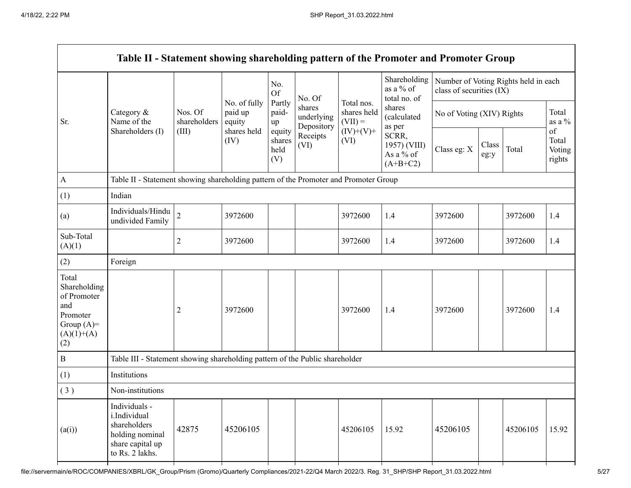|                                                                                                | Table II - Statement showing shareholding pattern of the Promoter and Promoter Group                    |                                  |                                                          |                                 |                                    |                                        |                                                  |                                                                  |               |          |                                 |
|------------------------------------------------------------------------------------------------|---------------------------------------------------------------------------------------------------------|----------------------------------|----------------------------------------------------------|---------------------------------|------------------------------------|----------------------------------------|--------------------------------------------------|------------------------------------------------------------------|---------------|----------|---------------------------------|
|                                                                                                |                                                                                                         |                                  |                                                          | No.<br><b>Of</b>                | No. Of                             |                                        | Shareholding<br>as a % of<br>total no. of        | Number of Voting Rights held in each<br>class of securities (IX) |               |          |                                 |
| Sr.                                                                                            | Category $\&$<br>Name of the                                                                            | Nos. Of<br>shareholders<br>(III) | No. of fully<br>paid up<br>equity<br>shares held<br>(IV) | Partly<br>paid-<br>up           | shares<br>underlying<br>Depository | Total nos.<br>shares held<br>$(VII) =$ | shares<br>(calculated<br>as per                  | No of Voting (XIV) Rights                                        |               |          | Total<br>as a $\%$              |
|                                                                                                | Shareholders (I)                                                                                        |                                  |                                                          | equity<br>shares<br>held<br>(V) | Receipts<br>(VI)                   | $(IV)+(V)+$<br>(VI)                    | SCRR,<br>1957) (VIII)<br>As a % of<br>$(A+B+C2)$ | Class eg: X                                                      | Class<br>eg:y | Total    | of<br>Total<br>Voting<br>rights |
| $\mathbf{A}$                                                                                   | Table II - Statement showing shareholding pattern of the Promoter and Promoter Group                    |                                  |                                                          |                                 |                                    |                                        |                                                  |                                                                  |               |          |                                 |
| (1)                                                                                            | Indian                                                                                                  |                                  |                                                          |                                 |                                    |                                        |                                                  |                                                                  |               |          |                                 |
| (a)                                                                                            | Individuals/Hindu<br>undivided Family                                                                   | $\overline{c}$                   | 3972600                                                  |                                 |                                    | 3972600                                | 1.4                                              | 3972600                                                          |               | 3972600  | 1.4                             |
| Sub-Total<br>(A)(1)                                                                            |                                                                                                         | $\overline{c}$                   | 3972600                                                  |                                 |                                    | 3972600                                | 1.4                                              | 3972600                                                          |               | 3972600  | 1.4                             |
| (2)                                                                                            | Foreign                                                                                                 |                                  |                                                          |                                 |                                    |                                        |                                                  |                                                                  |               |          |                                 |
| Total<br>Shareholding<br>of Promoter<br>and<br>Promoter<br>Group $(A)=$<br>$(A)(1)+(A)$<br>(2) |                                                                                                         | $\overline{c}$                   | 3972600                                                  |                                 |                                    | 3972600                                | 1.4                                              | 3972600                                                          |               | 3972600  | 1.4                             |
| $\, {\bf B}$                                                                                   | Table III - Statement showing shareholding pattern of the Public shareholder                            |                                  |                                                          |                                 |                                    |                                        |                                                  |                                                                  |               |          |                                 |
| (1)                                                                                            | Institutions                                                                                            |                                  |                                                          |                                 |                                    |                                        |                                                  |                                                                  |               |          |                                 |
| (3)                                                                                            | Non-institutions                                                                                        |                                  |                                                          |                                 |                                    |                                        |                                                  |                                                                  |               |          |                                 |
| (a(i))                                                                                         | Individuals -<br>i.Individual<br>shareholders<br>holding nominal<br>share capital up<br>to Rs. 2 lakhs. | 42875                            | 45206105                                                 |                                 |                                    | 45206105                               | 15.92                                            | 45206105                                                         |               | 45206105 | 15.92                           |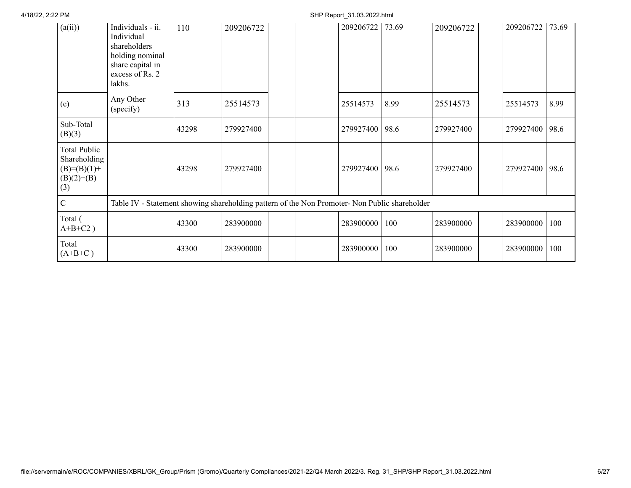| (a(ii))                                                                       | Individuals - ii.<br>Individual<br>shareholders<br>holding nominal<br>share capital in<br>excess of Rs. 2<br>lakhs. | 110   | 209206722 |  | 209206722 73.69 |      | 209206722 | 209206722 | 73.69 |
|-------------------------------------------------------------------------------|---------------------------------------------------------------------------------------------------------------------|-------|-----------|--|-----------------|------|-----------|-----------|-------|
| (e)                                                                           | Any Other<br>(specify)                                                                                              | 313   | 25514573  |  | 25514573        | 8.99 | 25514573  | 25514573  | 8.99  |
| Sub-Total<br>(B)(3)                                                           |                                                                                                                     | 43298 | 279927400 |  | 279927400 98.6  |      | 279927400 | 279927400 | 98.6  |
| <b>Total Public</b><br>Shareholding<br>$(B)= (B)(1) +$<br>$(B)(2)+(B)$<br>(3) |                                                                                                                     | 43298 | 279927400 |  | 279927400 98.6  |      | 279927400 | 279927400 | 98.6  |
| $\mathbf C$                                                                   | Table IV - Statement showing shareholding pattern of the Non Promoter- Non Public shareholder                       |       |           |  |                 |      |           |           |       |
| Total (<br>$A+B+C2$ )                                                         |                                                                                                                     | 43300 | 283900000 |  | 283900000       | 100  | 283900000 | 283900000 | 100   |
| Total<br>$(A+B+C)$                                                            |                                                                                                                     | 43300 | 283900000 |  | 283900000       | 100  | 283900000 | 283900000 | 100   |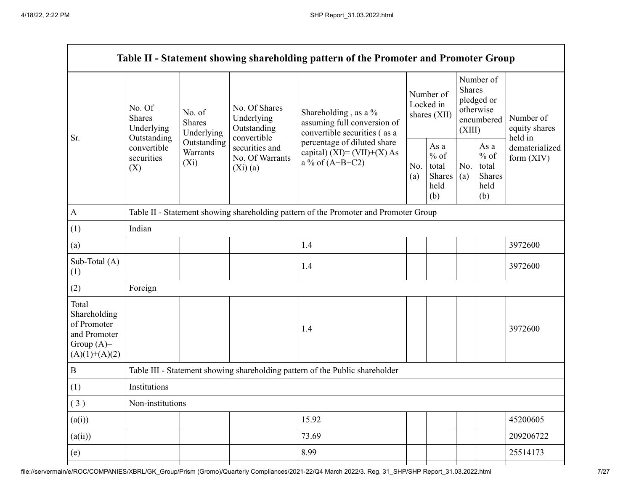|                                                                                         |                                                 |                                       |                                                             | Table II - Statement showing shareholding pattern of the Promoter and Promoter Group |                                        |                                                  |                                                                               |                                                  |                                       |
|-----------------------------------------------------------------------------------------|-------------------------------------------------|---------------------------------------|-------------------------------------------------------------|--------------------------------------------------------------------------------------|----------------------------------------|--------------------------------------------------|-------------------------------------------------------------------------------|--------------------------------------------------|---------------------------------------|
| Sr.                                                                                     | No. Of<br><b>Shares</b><br>Underlying           | No. of<br><b>Shares</b><br>Underlying | No. Of Shares<br>Underlying<br>Outstanding                  | Shareholding, as a %<br>assuming full conversion of<br>convertible securities (as a  | Number of<br>Locked in<br>shares (XII) |                                                  | Number of<br><b>Shares</b><br>pledged or<br>otherwise<br>encumbered<br>(XIII) |                                                  | Number of<br>equity shares<br>held in |
|                                                                                         | Outstanding<br>convertible<br>securities<br>(X) | Outstanding<br>Warrants<br>$(X_i)$    | convertible<br>securities and<br>No. Of Warrants<br>(Xi)(a) | percentage of diluted share<br>capital) $(XI) = (VII)+(X) As$<br>a % of $(A+B+C2)$   |                                        | As a<br>$%$ of<br>total<br>Shares<br>held<br>(b) | No.<br>(a)                                                                    | As a<br>$%$ of<br>total<br>Shares<br>held<br>(b) | dematerialized<br>form $(XIV)$        |
| $\mathbf{A}$                                                                            |                                                 |                                       |                                                             | Table II - Statement showing shareholding pattern of the Promoter and Promoter Group |                                        |                                                  |                                                                               |                                                  |                                       |
| (1)                                                                                     | Indian                                          |                                       |                                                             |                                                                                      |                                        |                                                  |                                                                               |                                                  |                                       |
| (a)                                                                                     |                                                 |                                       |                                                             | 1.4                                                                                  |                                        |                                                  |                                                                               |                                                  | 3972600                               |
| Sub-Total (A)<br>(1)                                                                    |                                                 |                                       |                                                             | 1.4                                                                                  |                                        |                                                  |                                                                               |                                                  | 3972600                               |
| (2)                                                                                     | Foreign                                         |                                       |                                                             |                                                                                      |                                        |                                                  |                                                                               |                                                  |                                       |
| Total<br>Shareholding<br>of Promoter<br>and Promoter<br>Group $(A)=$<br>$(A)(1)+(A)(2)$ |                                                 |                                       |                                                             | 1.4                                                                                  |                                        |                                                  |                                                                               |                                                  | 3972600                               |
| $\, {\bf B}$                                                                            |                                                 |                                       |                                                             | Table III - Statement showing shareholding pattern of the Public shareholder         |                                        |                                                  |                                                                               |                                                  |                                       |
| (1)                                                                                     | Institutions                                    |                                       |                                                             |                                                                                      |                                        |                                                  |                                                                               |                                                  |                                       |
| (3)                                                                                     | Non-institutions                                |                                       |                                                             |                                                                                      |                                        |                                                  |                                                                               |                                                  |                                       |
| (a(i))                                                                                  |                                                 |                                       |                                                             | 15.92                                                                                |                                        |                                                  |                                                                               |                                                  | 45200605                              |
| (a(ii))                                                                                 |                                                 |                                       |                                                             | 73.69                                                                                |                                        |                                                  |                                                                               |                                                  | 209206722                             |
| (e)                                                                                     |                                                 |                                       |                                                             | 8.99                                                                                 |                                        |                                                  |                                                                               |                                                  | 25514173                              |
|                                                                                         |                                                 |                                       |                                                             |                                                                                      |                                        |                                                  |                                                                               |                                                  |                                       |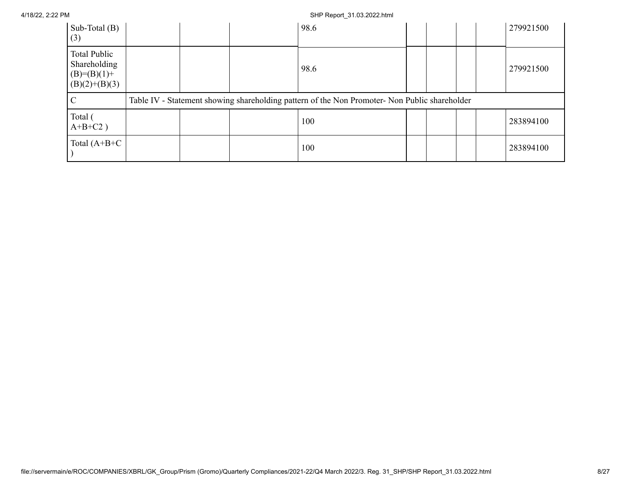| Sub-Total $(B)$<br>(3)                                                    |  | 98.6                                                                                          |  |  | 279921500 |
|---------------------------------------------------------------------------|--|-----------------------------------------------------------------------------------------------|--|--|-----------|
| <b>Total Public</b><br>Shareholding<br>$(B)= (B)(1) +$<br>$(B)(2)+(B)(3)$ |  | 98.6                                                                                          |  |  | 279921500 |
|                                                                           |  | Table IV - Statement showing shareholding pattern of the Non Promoter- Non Public shareholder |  |  |           |
| Total (<br>$A+B+C2$ )                                                     |  | 100                                                                                           |  |  | 283894100 |
| Total $(A+B+C$                                                            |  | 100                                                                                           |  |  | 283894100 |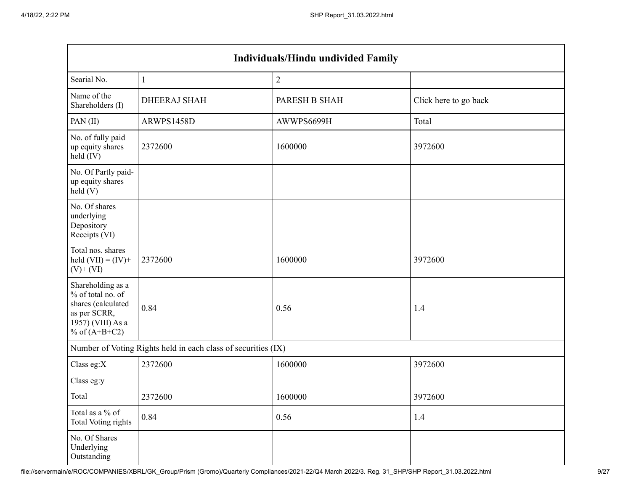| Individuals/Hindu undivided Family                                                                                   |                                                               |               |                       |  |  |  |  |  |  |  |
|----------------------------------------------------------------------------------------------------------------------|---------------------------------------------------------------|---------------|-----------------------|--|--|--|--|--|--|--|
| Searial No.                                                                                                          | $\mathbf{1}$                                                  | $\sqrt{2}$    |                       |  |  |  |  |  |  |  |
| Name of the<br>Shareholders (I)                                                                                      | <b>DHEERAJ SHAH</b>                                           | PARESH B SHAH | Click here to go back |  |  |  |  |  |  |  |
| PAN(II)                                                                                                              | ARWPS1458D                                                    | AWWPS6699H    | Total                 |  |  |  |  |  |  |  |
| No. of fully paid<br>up equity shares<br>held (IV)                                                                   | 2372600                                                       | 1600000       | 3972600               |  |  |  |  |  |  |  |
| No. Of Partly paid-<br>up equity shares<br>held(V)                                                                   |                                                               |               |                       |  |  |  |  |  |  |  |
| No. Of shares<br>underlying<br>Depository<br>Receipts (VI)                                                           |                                                               |               |                       |  |  |  |  |  |  |  |
| Total nos. shares<br>held $(VII) = (IV) +$<br>$(V)$ + $(VI)$                                                         | 2372600                                                       | 1600000       | 3972600               |  |  |  |  |  |  |  |
| Shareholding as a<br>% of total no. of<br>shares (calculated<br>as per SCRR,<br>1957) (VIII) As a<br>% of $(A+B+C2)$ | 0.84                                                          | 0.56          | 1.4                   |  |  |  |  |  |  |  |
|                                                                                                                      | Number of Voting Rights held in each class of securities (IX) |               |                       |  |  |  |  |  |  |  |
| Class eg: $X$                                                                                                        | 2372600                                                       | 1600000       | 3972600               |  |  |  |  |  |  |  |
| Class eg:y                                                                                                           |                                                               |               |                       |  |  |  |  |  |  |  |
| Total                                                                                                                | 2372600                                                       | 1600000       | 3972600               |  |  |  |  |  |  |  |
| Total as a % of<br><b>Total Voting rights</b>                                                                        | 0.84                                                          | 0.56          | 1.4                   |  |  |  |  |  |  |  |
| No. Of Shares<br>Underlying<br>Outstanding                                                                           |                                                               |               |                       |  |  |  |  |  |  |  |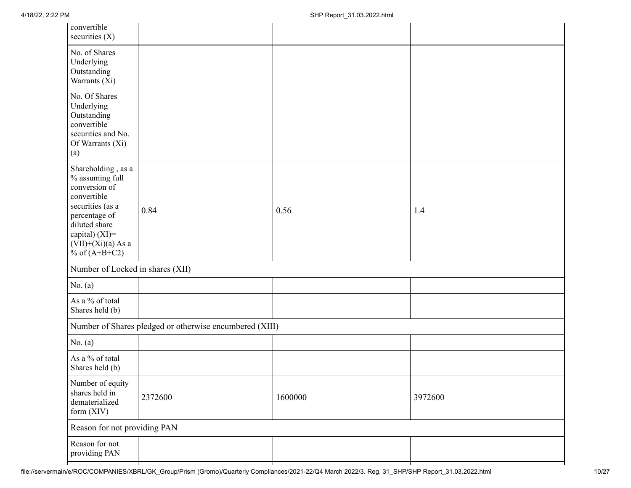| convertible<br>securities $(X)$                                                                                                                                                          |                                                         |         |         |
|------------------------------------------------------------------------------------------------------------------------------------------------------------------------------------------|---------------------------------------------------------|---------|---------|
| No. of Shares<br>Underlying<br>Outstanding<br>Warrants (Xi)                                                                                                                              |                                                         |         |         |
| No. Of Shares<br>Underlying<br>Outstanding<br>convertible<br>securities and No.<br>Of Warrants (Xi)<br>(a)                                                                               |                                                         |         |         |
| Shareholding, as a<br>% assuming full<br>conversion of<br>convertible<br>securities (as a<br>percentage of<br>diluted share<br>capital) (XI)=<br>$(VII)+(Xi)(a)$ As a<br>% of $(A+B+C2)$ | 0.84                                                    | 0.56    | 1.4     |
| Number of Locked in shares (XII)                                                                                                                                                         |                                                         |         |         |
| No. $(a)$                                                                                                                                                                                |                                                         |         |         |
| As a % of total<br>Shares held (b)                                                                                                                                                       |                                                         |         |         |
|                                                                                                                                                                                          | Number of Shares pledged or otherwise encumbered (XIII) |         |         |
| No. $(a)$                                                                                                                                                                                |                                                         |         |         |
| As a % of total<br>Shares held (b)                                                                                                                                                       |                                                         |         |         |
| Number of equity<br>shares held in<br>dematerialized<br>form (XIV)                                                                                                                       | 2372600                                                 | 1600000 | 3972600 |
| Reason for not providing PAN                                                                                                                                                             |                                                         |         |         |
| Reason for not<br>providing PAN                                                                                                                                                          |                                                         |         |         |
|                                                                                                                                                                                          |                                                         |         |         |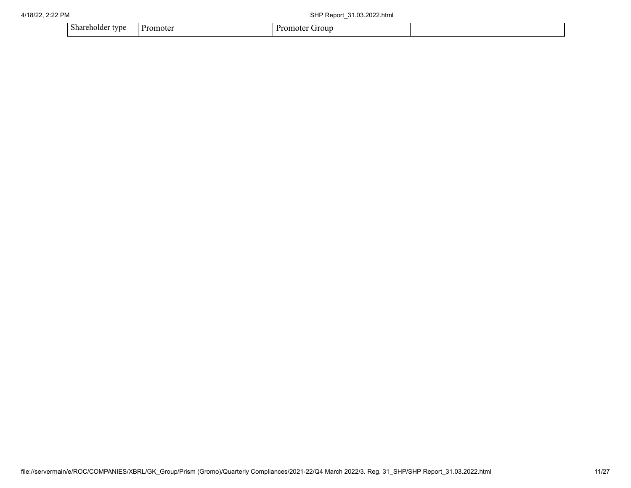| 4/18/22, 2:22 PM |                           |  | SHP Report 31.03.2022.html |  |
|------------------|---------------------------|--|----------------------------|--|
|                  | Shareholder type Promoter |  | Promoter Group             |  |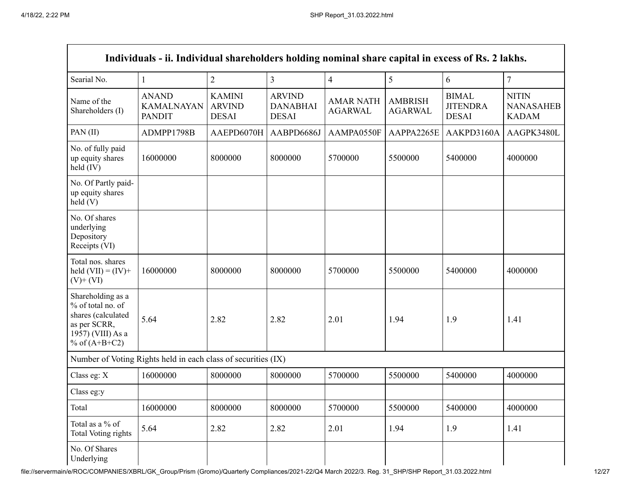Г

| Individuals - ii. Individual shareholders holding nominal share capital in excess of Rs. 2 lakhs.                    |                                                               |                                                |                                                  |                                    |                                  |                                                 |                                                  |  |  |  |  |
|----------------------------------------------------------------------------------------------------------------------|---------------------------------------------------------------|------------------------------------------------|--------------------------------------------------|------------------------------------|----------------------------------|-------------------------------------------------|--------------------------------------------------|--|--|--|--|
| Searial No.                                                                                                          | $\mathbf{1}$                                                  | $\overline{2}$                                 | $\overline{3}$                                   | $\overline{4}$                     | 5                                | 6                                               | $\overline{7}$                                   |  |  |  |  |
| Name of the<br>Shareholders (I)                                                                                      | <b>ANAND</b><br><b>KAMALNAYAN</b><br><b>PANDIT</b>            | <b>KAMINI</b><br><b>ARVIND</b><br><b>DESAI</b> | <b>ARVIND</b><br><b>DANABHAI</b><br><b>DESAI</b> | <b>AMAR NATH</b><br><b>AGARWAL</b> | <b>AMBRISH</b><br><b>AGARWAL</b> | <b>BIMAL</b><br><b>JITENDRA</b><br><b>DESAI</b> | <b>NITIN</b><br><b>NANASAHEB</b><br><b>KADAM</b> |  |  |  |  |
| PAN(II)                                                                                                              | ADMPP1798B                                                    | AAEPD6070H                                     | AABPD6686J                                       | AAMPA0550F                         | AAPPA2265E                       | AAKPD3160A                                      | AAGPK3480L                                       |  |  |  |  |
| No. of fully paid<br>up equity shares<br>held (IV)                                                                   | 16000000                                                      | 8000000                                        | 8000000                                          | 5700000                            | 5500000                          | 5400000                                         | 4000000                                          |  |  |  |  |
| No. Of Partly paid-<br>up equity shares<br>held(V)                                                                   |                                                               |                                                |                                                  |                                    |                                  |                                                 |                                                  |  |  |  |  |
| No. Of shares<br>underlying<br>Depository<br>Receipts (VI)                                                           |                                                               |                                                |                                                  |                                    |                                  |                                                 |                                                  |  |  |  |  |
| Total nos. shares<br>held $(VII) = (IV) +$<br>$(V)$ + $(VI)$                                                         | 16000000                                                      | 8000000                                        | 8000000                                          | 5700000                            | 5500000                          | 5400000                                         | 4000000                                          |  |  |  |  |
| Shareholding as a<br>% of total no. of<br>shares (calculated<br>as per SCRR,<br>1957) (VIII) As a<br>% of $(A+B+C2)$ | 5.64                                                          | 2.82                                           | 2.82                                             | 2.01                               | 1.94                             | 1.9                                             | 1.41                                             |  |  |  |  |
|                                                                                                                      | Number of Voting Rights held in each class of securities (IX) |                                                |                                                  |                                    |                                  |                                                 |                                                  |  |  |  |  |
| Class eg: X                                                                                                          | 16000000                                                      | 8000000                                        | 8000000                                          | 5700000                            | 5500000                          | 5400000                                         | 4000000                                          |  |  |  |  |
| Class eg:y                                                                                                           |                                                               |                                                |                                                  |                                    |                                  |                                                 |                                                  |  |  |  |  |
| Total                                                                                                                | 16000000                                                      | 8000000                                        | 8000000                                          | 5700000                            | 5500000                          | 5400000                                         | 4000000                                          |  |  |  |  |
| Total as a % of<br><b>Total Voting rights</b>                                                                        | 5.64                                                          | 2.82                                           | 2.82                                             | 2.01                               | 1.94                             | 1.9                                             | 1.41                                             |  |  |  |  |
| No. Of Shares<br>Underlying                                                                                          |                                                               |                                                |                                                  |                                    |                                  |                                                 |                                                  |  |  |  |  |

File://servermain/e/ROC/COMPANIES/XBRL/GK\_Group/Prism (Gromo)/Quarterly Compliances/2021-22/Q4 March 2022/3. Reg. 31\_SHP/SHP Report\_31.03.2022.html 12/27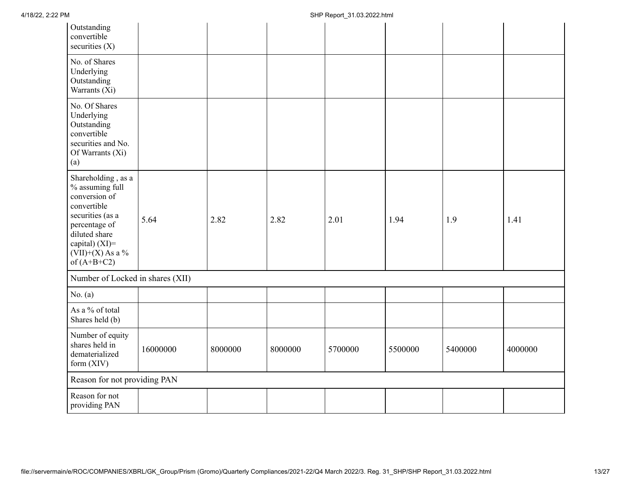| Outstanding<br>convertible<br>securities $(X)$                                                                                                                                          |          |         |         |         |         |         |         |
|-----------------------------------------------------------------------------------------------------------------------------------------------------------------------------------------|----------|---------|---------|---------|---------|---------|---------|
| No. of Shares<br>Underlying<br>Outstanding<br>Warrants (Xi)                                                                                                                             |          |         |         |         |         |         |         |
| No. Of Shares<br>Underlying<br>Outstanding<br>convertible<br>securities and No.<br>Of Warrants (Xi)<br>(a)                                                                              |          |         |         |         |         |         |         |
| Shareholding, as a<br>% assuming full<br>conversion of<br>convertible<br>securities (as a<br>percentage of<br>diluted share<br>capital) $(XI)$ =<br>$(VII)+(X)$ As a %<br>of $(A+B+C2)$ | 5.64     | 2.82    | 2.82    | 2.01    | 1.94    | 1.9     | 1.41    |
| Number of Locked in shares (XII)                                                                                                                                                        |          |         |         |         |         |         |         |
| No. $(a)$                                                                                                                                                                               |          |         |         |         |         |         |         |
| As a % of total<br>Shares held (b)                                                                                                                                                      |          |         |         |         |         |         |         |
| Number of equity<br>shares held in<br>dematerialized<br>form $(XIV)$                                                                                                                    | 16000000 | 8000000 | 8000000 | 5700000 | 5500000 | 5400000 | 4000000 |
| Reason for not providing PAN                                                                                                                                                            |          |         |         |         |         |         |         |
| Reason for not<br>providing PAN                                                                                                                                                         |          |         |         |         |         |         |         |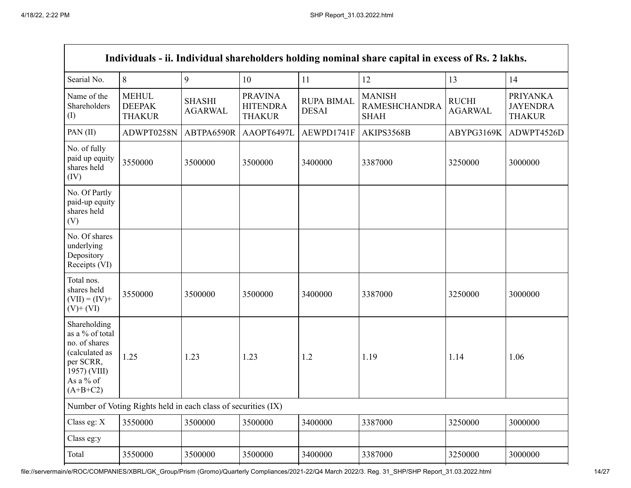|                                                                                                                            |                                                               |                                 |                                                    |                                   | Individuals - ii. Individual shareholders holding nominal share capital in excess of Rs. 2 lakhs. |                                |                                                     |
|----------------------------------------------------------------------------------------------------------------------------|---------------------------------------------------------------|---------------------------------|----------------------------------------------------|-----------------------------------|---------------------------------------------------------------------------------------------------|--------------------------------|-----------------------------------------------------|
| Searial No.                                                                                                                | 8                                                             | 9                               | 10                                                 | 11                                | 12                                                                                                | 13                             | 14                                                  |
| Name of the<br>Shareholders<br>(I)                                                                                         | <b>MEHUL</b><br><b>DEEPAK</b><br><b>THAKUR</b>                | <b>SHASHI</b><br><b>AGARWAL</b> | <b>PRAVINA</b><br><b>HITENDRA</b><br><b>THAKUR</b> | <b>RUPA BIMAL</b><br><b>DESAI</b> | <b>MANISH</b><br><b>RAMESHCHANDRA</b><br><b>SHAH</b>                                              | <b>RUCHI</b><br><b>AGARWAL</b> | <b>PRIYANKA</b><br><b>JAYENDRA</b><br><b>THAKUR</b> |
| PAN(II)                                                                                                                    | ADWPT0258N                                                    | ABTPA6590R                      | AAOPT6497L                                         | AEWPD1741F                        | AKIPS3568B                                                                                        | ABYPG3169K                     | ADWPT4526D                                          |
| No. of fully<br>paid up equity<br>shares held<br>(IV)                                                                      | 3550000                                                       | 3500000                         | 3500000                                            | 3400000                           | 3387000                                                                                           | 3250000                        | 3000000                                             |
| No. Of Partly<br>paid-up equity<br>shares held<br>(V)                                                                      |                                                               |                                 |                                                    |                                   |                                                                                                   |                                |                                                     |
| No. Of shares<br>underlying<br>Depository<br>Receipts (VI)                                                                 |                                                               |                                 |                                                    |                                   |                                                                                                   |                                |                                                     |
| Total nos.<br>shares held<br>$(VII) = (IV) +$<br>$(V)$ + $(VI)$                                                            | 3550000                                                       | 3500000                         | 3500000                                            | 3400000                           | 3387000                                                                                           | 3250000                        | 3000000                                             |
| Shareholding<br>as a % of total<br>no. of shares<br>(calculated as<br>per SCRR,<br>1957) (VIII)<br>As a % of<br>$(A+B+C2)$ | 1.25                                                          | 1.23                            | 1.23                                               | 1.2                               | 1.19                                                                                              | 1.14                           | 1.06                                                |
|                                                                                                                            | Number of Voting Rights held in each class of securities (IX) |                                 |                                                    |                                   |                                                                                                   |                                |                                                     |
| Class eg: X                                                                                                                | 3550000                                                       | 3500000                         | 3500000                                            | 3400000                           | 3387000                                                                                           | 3250000                        | 3000000                                             |
| Class eg:y                                                                                                                 |                                                               |                                 |                                                    |                                   |                                                                                                   |                                |                                                     |
| Total                                                                                                                      | 3550000                                                       | 3500000                         | 3500000                                            | 3400000                           | 3387000                                                                                           | 3250000                        | 3000000                                             |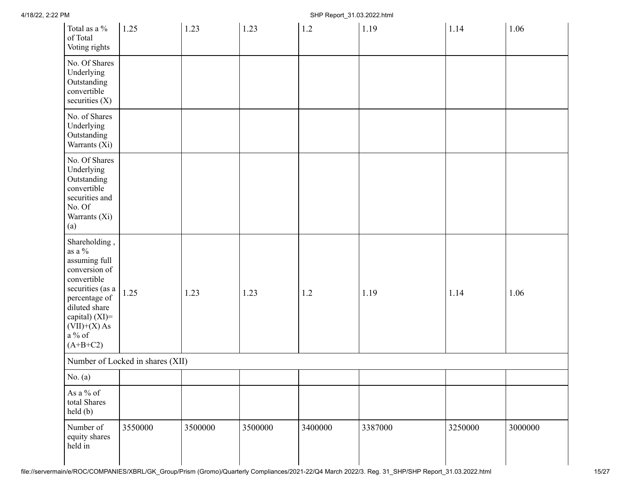| Total as a %<br>of Total<br>Voting rights                                                                                                                                                        | 1.25                             | 1.23    | 1.23    | 1.2     | 1.19    | 1.14    | 1.06    |
|--------------------------------------------------------------------------------------------------------------------------------------------------------------------------------------------------|----------------------------------|---------|---------|---------|---------|---------|---------|
| No. Of Shares<br>Underlying<br>Outstanding<br>convertible<br>securities (X)                                                                                                                      |                                  |         |         |         |         |         |         |
| No. of Shares<br>Underlying<br>Outstanding<br>Warrants (Xi)                                                                                                                                      |                                  |         |         |         |         |         |         |
| No. Of Shares<br>Underlying<br>Outstanding<br>convertible<br>securities and<br>No. Of<br>Warrants (Xi)<br>(a)                                                                                    |                                  |         |         |         |         |         |         |
| Shareholding,<br>as a $\%$<br>assuming full<br>conversion of<br>convertible<br>securities (as a<br>percentage of<br>diluted share<br>capital) $(XI)$ =<br>$(VII)+(X)$ As<br>a % of<br>$(A+B+C2)$ | 1.25                             | 1.23    | 1.23    | 1.2     | 1.19    | 1.14    | 1.06    |
|                                                                                                                                                                                                  | Number of Locked in shares (XII) |         |         |         |         |         |         |
| No. $(a)$                                                                                                                                                                                        |                                  |         |         |         |         |         |         |
| As a $\%$ of<br>total Shares<br>held (b)                                                                                                                                                         |                                  |         |         |         |         |         |         |
| Number of<br>equity shares<br>held in                                                                                                                                                            | 3550000                          | 3500000 | 3500000 | 3400000 | 3387000 | 3250000 | 3000000 |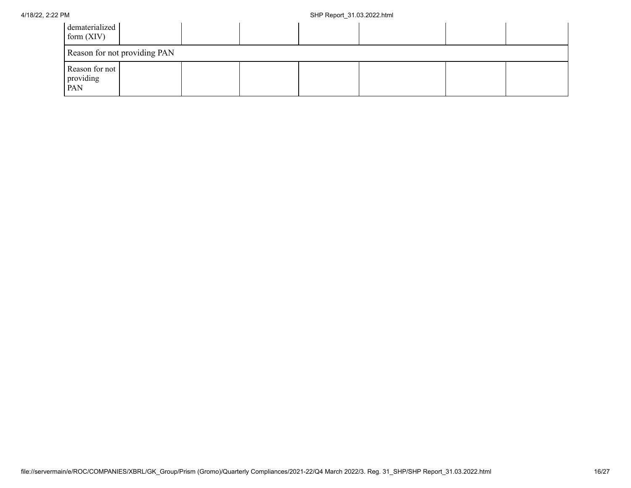| dematerialized<br>form $(XIV)$     |                              |  |  |  |
|------------------------------------|------------------------------|--|--|--|
|                                    | Reason for not providing PAN |  |  |  |
| Reason for not<br>providing<br>PAN |                              |  |  |  |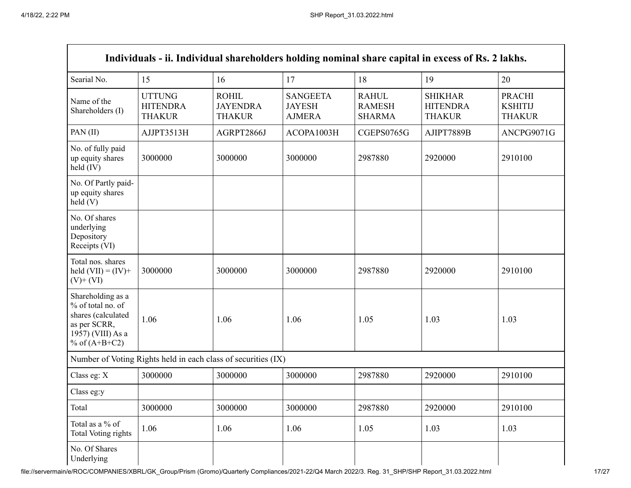Г

| Individuals - ii. Individual shareholders holding nominal share capital in excess of Rs. 2 lakhs.                    |                                                               |                                                  |                                                   |                                                |                                                    |                                                  |  |  |
|----------------------------------------------------------------------------------------------------------------------|---------------------------------------------------------------|--------------------------------------------------|---------------------------------------------------|------------------------------------------------|----------------------------------------------------|--------------------------------------------------|--|--|
| Searial No.                                                                                                          | 15                                                            | 16                                               | 17                                                | 18                                             | 19                                                 | 20                                               |  |  |
| Name of the<br>Shareholders (I)                                                                                      | <b>UTTUNG</b><br><b>HITENDRA</b><br><b>THAKUR</b>             | <b>ROHIL</b><br><b>JAYENDRA</b><br><b>THAKUR</b> | <b>SANGEETA</b><br><b>JAYESH</b><br><b>AJMERA</b> | <b>RAHUL</b><br><b>RAMESH</b><br><b>SHARMA</b> | <b>SHIKHAR</b><br><b>HITENDRA</b><br><b>THAKUR</b> | <b>PRACHI</b><br><b>KSHITIJ</b><br><b>THAKUR</b> |  |  |
| PAN(II)                                                                                                              | AJJPT3513H                                                    | AGRPT2866J                                       | ACOPA1003H                                        | CGEPS0765G                                     | AJIPT7889B                                         | ANCPG9071G                                       |  |  |
| No. of fully paid<br>up equity shares<br>held (IV)                                                                   | 3000000                                                       | 3000000                                          | 3000000                                           | 2987880                                        | 2920000                                            | 2910100                                          |  |  |
| No. Of Partly paid-<br>up equity shares<br>held(V)                                                                   |                                                               |                                                  |                                                   |                                                |                                                    |                                                  |  |  |
| No. Of shares<br>underlying<br>Depository<br>Receipts (VI)                                                           |                                                               |                                                  |                                                   |                                                |                                                    |                                                  |  |  |
| Total nos. shares<br>held $(VII) = (IV) +$<br>$(V)$ + $(VI)$                                                         | 3000000                                                       | 3000000                                          | 3000000                                           | 2987880                                        | 2920000                                            | 2910100                                          |  |  |
| Shareholding as a<br>% of total no. of<br>shares (calculated<br>as per SCRR,<br>1957) (VIII) As a<br>% of $(A+B+C2)$ | 1.06                                                          | 1.06                                             | 1.06                                              | 1.05                                           | 1.03                                               | 1.03                                             |  |  |
|                                                                                                                      | Number of Voting Rights held in each class of securities (IX) |                                                  |                                                   |                                                |                                                    |                                                  |  |  |
| Class eg: X                                                                                                          | 3000000                                                       | 3000000                                          | 3000000                                           | 2987880                                        | 2920000                                            | 2910100                                          |  |  |
| Class eg:y                                                                                                           |                                                               |                                                  |                                                   |                                                |                                                    |                                                  |  |  |
| Total                                                                                                                | 3000000                                                       | 3000000                                          | 3000000                                           | 2987880                                        | 2920000                                            | 2910100                                          |  |  |
| Total as a % of<br>Total Voting rights                                                                               | 1.06                                                          | 1.06                                             | 1.06                                              | 1.05                                           | 1.03                                               | 1.03                                             |  |  |
| No. Of Shares<br>Underlying                                                                                          |                                                               |                                                  |                                                   |                                                |                                                    |                                                  |  |  |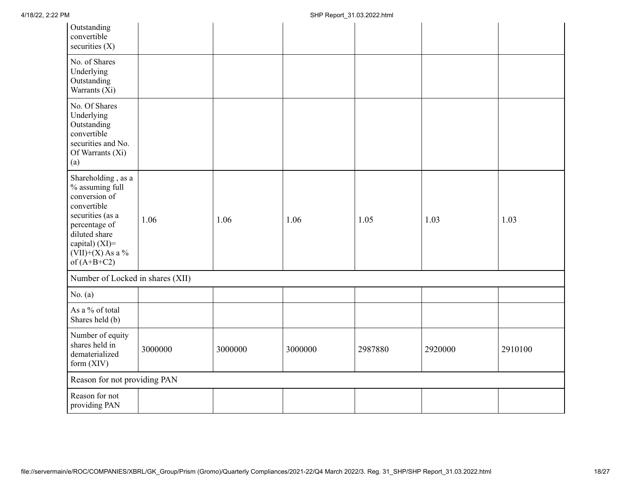| Outstanding<br>convertible<br>securities $(X)$                                                                                                                                       |         |         |         |         |         |         |
|--------------------------------------------------------------------------------------------------------------------------------------------------------------------------------------|---------|---------|---------|---------|---------|---------|
| No. of Shares<br>Underlying<br>Outstanding<br>Warrants (Xi)                                                                                                                          |         |         |         |         |         |         |
| No. Of Shares<br>Underlying<br>Outstanding<br>convertible<br>securities and No.<br>Of Warrants (Xi)<br>(a)                                                                           |         |         |         |         |         |         |
| Shareholding, as a<br>% assuming full<br>conversion of<br>convertible<br>securities (as a<br>percentage of<br>diluted share<br>capital) (XI)=<br>$(VII)+(X)$ As a %<br>of $(A+B+C2)$ | 1.06    | 1.06    | 1.06    | 1.05    | 1.03    | 1.03    |
| Number of Locked in shares (XII)                                                                                                                                                     |         |         |         |         |         |         |
| No. $(a)$                                                                                                                                                                            |         |         |         |         |         |         |
| As a % of total<br>Shares held (b)                                                                                                                                                   |         |         |         |         |         |         |
| Number of equity<br>shares held in<br>dematerialized<br>form $(XIV)$                                                                                                                 | 3000000 | 3000000 | 3000000 | 2987880 | 2920000 | 2910100 |
| Reason for not providing PAN                                                                                                                                                         |         |         |         |         |         |         |
| Reason for not<br>providing PAN                                                                                                                                                      |         |         |         |         |         |         |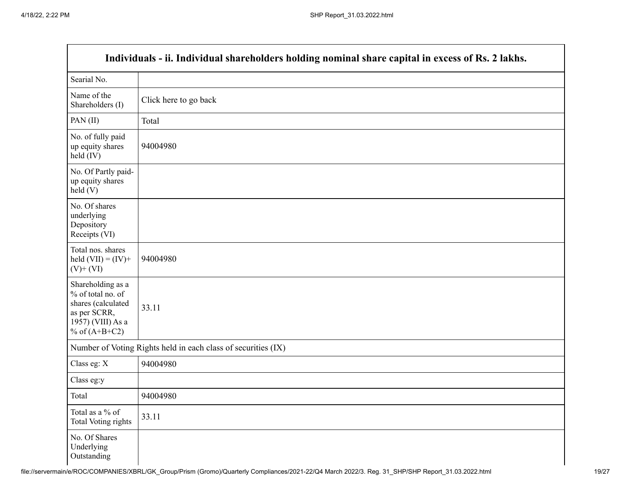| Individuals - ii. Individual shareholders holding nominal share capital in excess of Rs. 2 lakhs.                    |                                                               |  |  |  |  |  |
|----------------------------------------------------------------------------------------------------------------------|---------------------------------------------------------------|--|--|--|--|--|
| Searial No.                                                                                                          |                                                               |  |  |  |  |  |
| Name of the<br>Shareholders (I)                                                                                      | Click here to go back                                         |  |  |  |  |  |
| PAN(II)                                                                                                              | Total                                                         |  |  |  |  |  |
| No. of fully paid<br>up equity shares<br>$held$ (IV)                                                                 | 94004980                                                      |  |  |  |  |  |
| No. Of Partly paid-<br>up equity shares<br>$\text{held}(V)$                                                          |                                                               |  |  |  |  |  |
| No. Of shares<br>underlying<br>Depository<br>Receipts (VI)                                                           |                                                               |  |  |  |  |  |
| Total nos. shares<br>held $(VII) = (IV) +$<br>$(V)$ + $(VI)$                                                         | 94004980                                                      |  |  |  |  |  |
| Shareholding as a<br>% of total no. of<br>shares (calculated<br>as per SCRR,<br>1957) (VIII) As a<br>% of $(A+B+C2)$ | 33.11                                                         |  |  |  |  |  |
|                                                                                                                      | Number of Voting Rights held in each class of securities (IX) |  |  |  |  |  |
| Class eg: X                                                                                                          | 94004980                                                      |  |  |  |  |  |
| Class eg:y                                                                                                           |                                                               |  |  |  |  |  |
| Total                                                                                                                | 94004980                                                      |  |  |  |  |  |
| Total as a % of<br><b>Total Voting rights</b>                                                                        | 33.11                                                         |  |  |  |  |  |
| No. Of Shares<br>Underlying<br>Outstanding                                                                           |                                                               |  |  |  |  |  |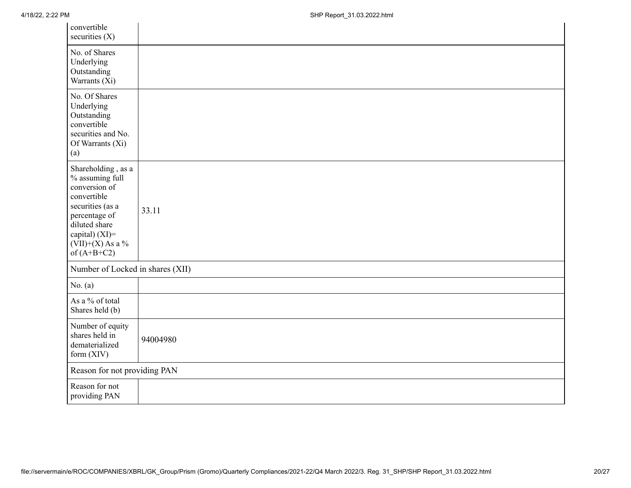| convertible<br>securities $(X)$                                                                                                                                                         |          |
|-----------------------------------------------------------------------------------------------------------------------------------------------------------------------------------------|----------|
| No. of Shares<br>Underlying<br>Outstanding<br>Warrants (Xi)                                                                                                                             |          |
| No. Of Shares<br>Underlying<br>Outstanding<br>convertible<br>securities and No.<br>Of Warrants (Xi)<br>(a)                                                                              |          |
| Shareholding, as a<br>$\%$ assuming full<br>conversion of<br>convertible<br>securities (as a<br>percentage of<br>diluted share<br>capital) (XI)=<br>$(VII)+(X)$ As a %<br>of $(A+B+C2)$ | 33.11    |
| Number of Locked in shares (XII)                                                                                                                                                        |          |
| No. $(a)$                                                                                                                                                                               |          |
| As a % of total<br>Shares held (b)                                                                                                                                                      |          |
| Number of equity<br>shares held in<br>dematerialized<br>form (XIV)                                                                                                                      | 94004980 |
| Reason for not providing PAN                                                                                                                                                            |          |
| Reason for not<br>providing PAN                                                                                                                                                         |          |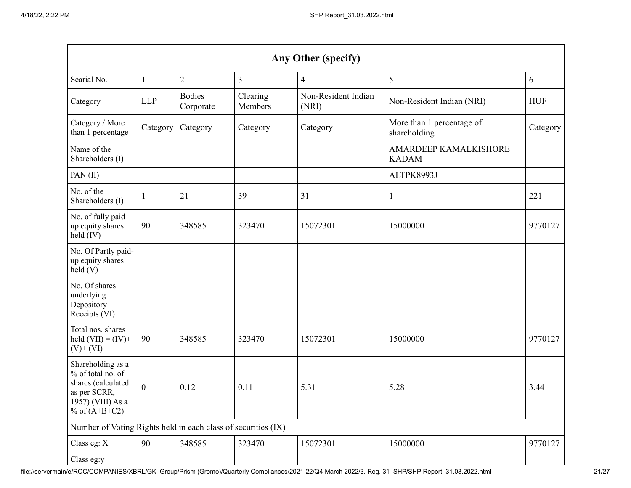| Any Other (specify)                                                                                                  |                  |                            |                     |                              |                                              |            |  |  |
|----------------------------------------------------------------------------------------------------------------------|------------------|----------------------------|---------------------|------------------------------|----------------------------------------------|------------|--|--|
| Searial No.                                                                                                          | 1                | $\overline{2}$             | 3                   | $\overline{4}$               | 5                                            | 6          |  |  |
| Category                                                                                                             | <b>LLP</b>       | <b>Bodies</b><br>Corporate | Clearing<br>Members | Non-Resident Indian<br>(NRI) | Non-Resident Indian (NRI)                    | <b>HUF</b> |  |  |
| Category / More<br>than 1 percentage                                                                                 | Category         | Category                   | Category            | Category                     | More than 1 percentage of<br>shareholding    | Category   |  |  |
| Name of the<br>Shareholders (I)                                                                                      |                  |                            |                     |                              | <b>AMARDEEP KAMALKISHORE</b><br><b>KADAM</b> |            |  |  |
| PAN(II)                                                                                                              |                  |                            |                     |                              | ALTPK8993J                                   |            |  |  |
| No. of the<br>Shareholders (I)                                                                                       | 1                | 21                         | 39                  | 31                           | $\mathbf{1}$                                 | 221        |  |  |
| No. of fully paid<br>up equity shares<br>held (IV)                                                                   | 90               | 348585                     | 323470              | 15072301                     | 15000000                                     | 9770127    |  |  |
| No. Of Partly paid-<br>up equity shares<br>held(V)                                                                   |                  |                            |                     |                              |                                              |            |  |  |
| No. Of shares<br>underlying<br>Depository<br>Receipts (VI)                                                           |                  |                            |                     |                              |                                              |            |  |  |
| Total nos. shares<br>held $(VII) = (IV) +$<br>$(V)$ + $(VI)$                                                         | 90               | 348585                     | 323470              | 15072301                     | 15000000                                     | 9770127    |  |  |
| Shareholding as a<br>% of total no. of<br>shares (calculated<br>as per SCRR,<br>1957) (VIII) As a<br>% of $(A+B+C2)$ | $\boldsymbol{0}$ | 0.12                       | 0.11                | 5.31                         | 5.28                                         | 3.44       |  |  |
| Number of Voting Rights held in each class of securities (IX)                                                        |                  |                            |                     |                              |                                              |            |  |  |
| Class eg: X                                                                                                          | 90               | 348585                     | 323470              | 15072301                     | 15000000                                     | 9770127    |  |  |
| Class eg:y                                                                                                           |                  |                            |                     |                              |                                              |            |  |  |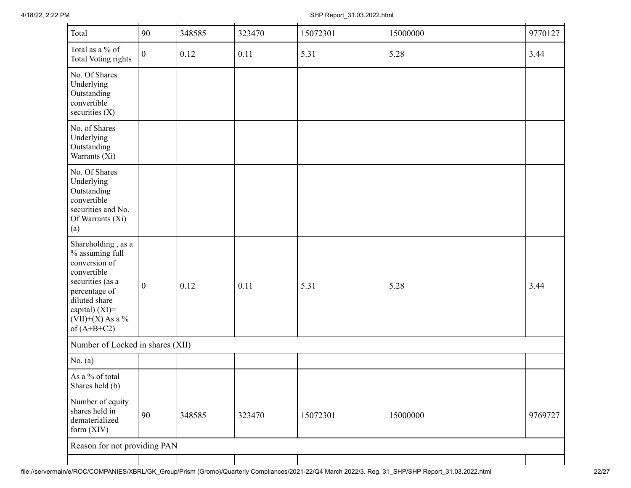| Total                                                                                                                                                                                | 90               | 348585 | 323470 | 15072301 | 15000000 | 9770127 |
|--------------------------------------------------------------------------------------------------------------------------------------------------------------------------------------|------------------|--------|--------|----------|----------|---------|
| Total as a % of<br><b>Total Voting rights</b>                                                                                                                                        | $\mathbf{0}$     | 0.12   | 0.11   | 5.31     | 5.28     | 3.44    |
| No. Of Shares<br>Underlying<br>Outstanding<br>convertible<br>securities $(X)$                                                                                                        |                  |        |        |          |          |         |
| No. of Shares<br>Underlying<br>Outstanding<br>Warrants (Xi)                                                                                                                          |                  |        |        |          |          |         |
| No. Of Shares<br>Underlying<br>Outstanding<br>convertible<br>securities and No.<br>Of Warrants (Xi)<br>(a)                                                                           |                  |        |        |          |          |         |
| Shareholding, as a<br>% assuming full<br>conversion of<br>convertible<br>securities (as a<br>percentage of<br>diluted share<br>capital) (XI)=<br>$(VII)+(X)$ As a %<br>of $(A+B+C2)$ | $\boldsymbol{0}$ | 0.12   | 0.11   | 5.31     | 5.28     | 3.44    |
| Number of Locked in shares (XII)                                                                                                                                                     |                  |        |        |          |          |         |
| No. $(a)$                                                                                                                                                                            |                  |        |        |          |          |         |
| As a % of total<br>Shares held (b)                                                                                                                                                   |                  |        |        |          |          |         |
| Number of equity<br>shares held in<br>dematerialized<br>form (XIV)                                                                                                                   | 90               | 348585 | 323470 | 15072301 | 15000000 | 9769727 |
| Reason for not providing PAN                                                                                                                                                         |                  |        |        |          |          |         |
|                                                                                                                                                                                      |                  |        |        |          |          |         |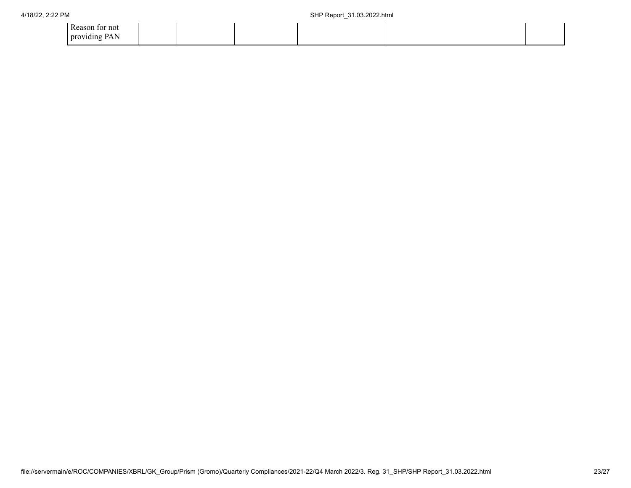| Reason for not |  |  |  |
|----------------|--|--|--|
| providing PAN  |  |  |  |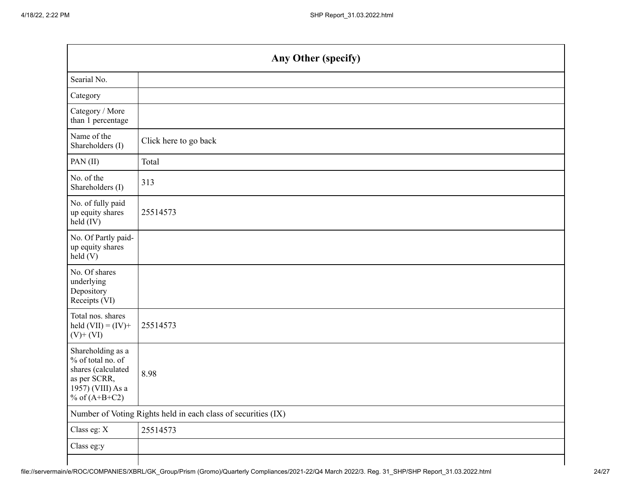|                                                                                                                      | Any Other (specify)                                           |
|----------------------------------------------------------------------------------------------------------------------|---------------------------------------------------------------|
| Searial No.                                                                                                          |                                                               |
| Category                                                                                                             |                                                               |
| Category / More<br>than 1 percentage                                                                                 |                                                               |
| Name of the<br>Shareholders (I)                                                                                      | Click here to go back                                         |
| PAN(II)                                                                                                              | Total                                                         |
| No. of the<br>Shareholders (I)                                                                                       | 313                                                           |
| No. of fully paid<br>up equity shares<br>held (IV)                                                                   | 25514573                                                      |
| No. Of Partly paid-<br>up equity shares<br>$\text{held}(V)$                                                          |                                                               |
| No. Of shares<br>underlying<br>Depository<br>Receipts (VI)                                                           |                                                               |
| Total nos. shares<br>held $(VII) = (IV) +$<br>$(V)$ + $(VI)$                                                         | 25514573                                                      |
| Shareholding as a<br>% of total no. of<br>shares (calculated<br>as per SCRR,<br>1957) (VIII) As a<br>% of $(A+B+C2)$ | 8.98                                                          |
|                                                                                                                      | Number of Voting Rights held in each class of securities (IX) |
| Class eg: X                                                                                                          | 25514573                                                      |
| Class eg:y                                                                                                           |                                                               |
|                                                                                                                      |                                                               |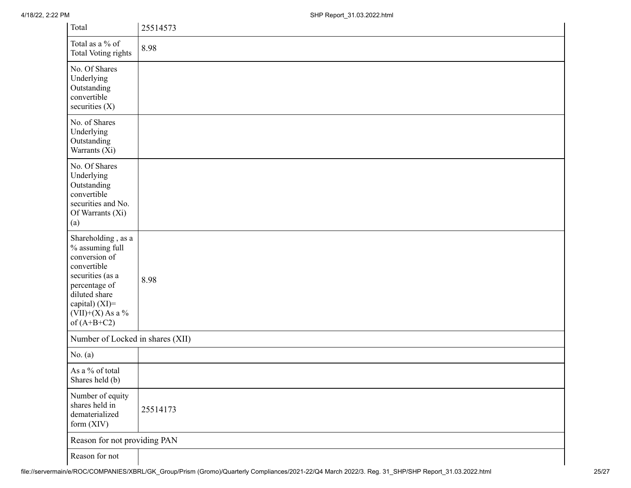| Total                                                                                                                                                                                   | 25514573 |
|-----------------------------------------------------------------------------------------------------------------------------------------------------------------------------------------|----------|
| Total as a % of<br><b>Total Voting rights</b>                                                                                                                                           | 8.98     |
| No. Of Shares<br>Underlying<br>Outstanding<br>convertible<br>securities $(X)$                                                                                                           |          |
| No. of Shares<br>Underlying<br>Outstanding<br>Warrants (Xi)                                                                                                                             |          |
| No. Of Shares<br>Underlying<br>Outstanding<br>convertible<br>securities and No.<br>Of Warrants (Xi)<br>(a)                                                                              |          |
| Shareholding, as a<br>$\%$ assuming full<br>conversion of<br>convertible<br>securities (as a<br>percentage of<br>diluted share<br>capital) (XI)=<br>$(VII)+(X)$ As a %<br>of $(A+B+C2)$ | 8.98     |
| Number of Locked in shares (XII)                                                                                                                                                        |          |
| No. $(a)$                                                                                                                                                                               |          |
| As a % of total<br>Shares held (b)                                                                                                                                                      |          |
| Number of equity<br>shares held in<br>dematerialized<br>form (XIV)                                                                                                                      | 25514173 |
| Reason for not providing PAN                                                                                                                                                            |          |
| Reason for not                                                                                                                                                                          |          |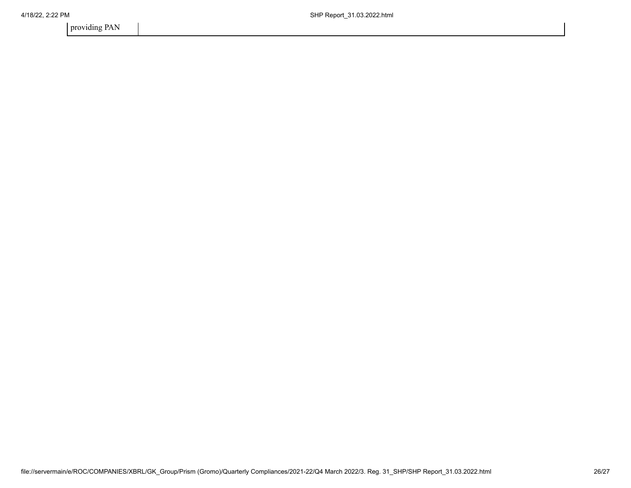providing PAN